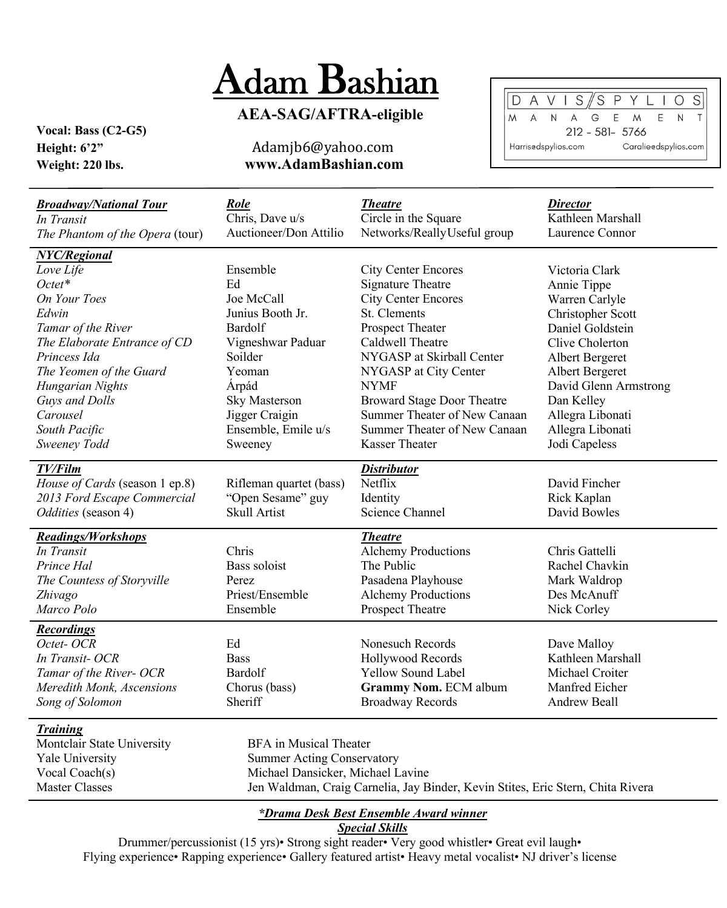## Adam Bashian

## **AEA-SAG/AFTRA-eligible**

**Vocal: Bass (C2-G5)**

## **Height: 6'2"**Adamjb6@yahoo.com **Weight: 220 lbs. www.AdamBashian.com**



| <b>Broadway/National Tour</b><br>In Transit<br>The Phantom of the Opera (tour)                                                                                         | Role<br>Chris, Dave u/s<br>Auctioneer/Don Attilio                                                                                                                                          | <i>Theatre</i><br>Circle in the Square<br>Networks/ReallyUseful group                                                                                                                              | <i>Director</i><br>Kathleen Marshall<br>Laurence Connor                                                                                           |
|------------------------------------------------------------------------------------------------------------------------------------------------------------------------|--------------------------------------------------------------------------------------------------------------------------------------------------------------------------------------------|----------------------------------------------------------------------------------------------------------------------------------------------------------------------------------------------------|---------------------------------------------------------------------------------------------------------------------------------------------------|
| <b>NYC/Regional</b><br>Love Life<br>$Octet*$<br>On Your Toes<br>Edwin<br>Tamar of the River<br>The Elaborate Entrance of CD<br>Princess Ida<br>The Yeomen of the Guard | Ensemble<br>Ed<br>Joe McCall<br>Junius Booth Jr.<br>Bardolf<br>Vigneshwar Paduar<br>Soilder<br>Yeoman                                                                                      | <b>City Center Encores</b><br><b>Signature Theatre</b><br><b>City Center Encores</b><br>St. Clements<br>Prospect Theater<br>Caldwell Theatre<br>NYGASP at Skirball Center<br>NYGASP at City Center | Victoria Clark<br>Annie Tippe<br>Warren Carlyle<br>Christopher Scott<br>Daniel Goldstein<br>Clive Cholerton<br>Albert Bergeret<br>Albert Bergeret |
| Hungarian Nights<br>Guys and Dolls<br>Carousel<br>South Pacific<br>Sweeney Todd<br>TV/Film                                                                             | Árpád<br><b>Sky Masterson</b><br>Jigger Craigin<br>Ensemble, Emile u/s<br>Sweeney                                                                                                          | <b>NYMF</b><br><b>Broward Stage Door Theatre</b><br>Summer Theater of New Canaan<br>Summer Theater of New Canaan<br><b>Kasser Theater</b><br><b>Distributor</b>                                    | David Glenn Armstrong<br>Dan Kelley<br>Allegra Libonati<br>Allegra Libonati<br>Jodi Capeless                                                      |
| House of Cards (season 1 ep.8)<br>2013 Ford Escape Commercial<br>Oddities (season 4)                                                                                   | Rifleman quartet (bass)<br>"Open Sesame" guy<br>Skull Artist                                                                                                                               | Netflix<br>Identity<br>Science Channel                                                                                                                                                             | David Fincher<br>Rick Kaplan<br>David Bowles                                                                                                      |
| <b>Readings/Workshops</b><br>In Transit<br>Prince Hal<br>The Countess of Storyville<br>Zhivago<br>Marco Polo                                                           | Chris<br>Bass soloist<br>Perez<br>Priest/Ensemble<br>Ensemble                                                                                                                              | <b>Theatre</b><br><b>Alchemy Productions</b><br>The Public<br>Pasadena Playhouse<br><b>Alchemy Productions</b><br>Prospect Theatre                                                                 | Chris Gattelli<br>Rachel Chavkin<br>Mark Waldrop<br>Des McAnuff<br>Nick Corley                                                                    |
| <b>Recordings</b><br>Octet-OCR<br>In Transit-OCR<br>Tamar of the River- OCR<br>Meredith Monk, Ascensions<br>Song of Solomon                                            | Ed<br><b>Bass</b><br>Bardolf<br>Chorus (bass)<br>Sheriff                                                                                                                                   | Nonesuch Records<br>Hollywood Records<br>Yellow Sound Label<br>Grammy Nom. ECM album<br><b>Broadway Records</b>                                                                                    | Dave Malloy<br>Kathleen Marshall<br>Michael Croiter<br>Manfred Eicher<br>Andrew Beall                                                             |
| <b>Training</b><br>Montclair State University<br>Yale University<br>Vocal Coach(s)<br><b>Master Classes</b>                                                            | <b>BFA</b> in Musical Theater<br><b>Summer Acting Conservatory</b><br>Michael Dansicker, Michael Lavine<br>Jen Waldman, Craig Carnelia, Jay Binder, Kevin Stites, Eric Stern, Chita Rivera |                                                                                                                                                                                                    |                                                                                                                                                   |

## *\*Drama Desk Best Ensemble Award winner*

*Special Skills*

Drummer/percussionist (15 yrs)• Strong sight reader• Very good whistler• Great evil laugh• Flying experience• Rapping experience• Gallery featured artist• Heavy metal vocalist• NJ driver's license